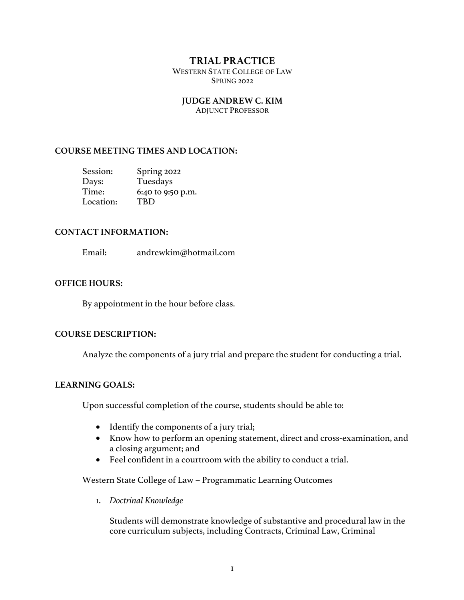# **TRIAL PRACTICE**

WESTERN STATE COLLEGE OF LAW SPRING 2022

### **JUDGE ANDREW C. KIM**

ADJUNCT PROFESSOR

### **COURSE MEETING TIMES AND LOCATION:**

| Session:  | Spring 2022       |
|-----------|-------------------|
| Days:     | Tuesdays          |
| Time:     | 6:40 to 9:50 p.m. |
| Location: | TRD               |

#### **CONTACT INFORMATION:**

Email: andrewkim@hotmail.com

#### **OFFICE HOURS:**

By appointment in the hour before class.

## **COURSE DESCRIPTION:**

Analyze the components of a jury trial and prepare the student for conducting a trial.

## **LEARNING GOALS:**

Upon successful completion of the course, students should be able to:

- Identify the components of a jury trial;
- Know how to perform an opening statement, direct and cross-examination, and a closing argument; and
- Feel confident in a courtroom with the ability to conduct a trial.

Western State College of Law – Programmatic Learning Outcomes

1. *Doctrinal Knowledge*

Students will demonstrate knowledge of substantive and procedural law in the core curriculum subjects, including Contracts, Criminal Law, Criminal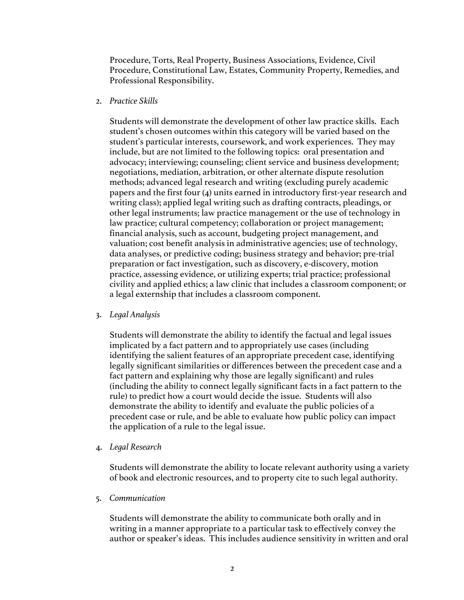Procedure, Torts, Real Property, Business Associations, Evidence, Civil Procedure, Constitutional Law, Estates, Community Property, Remedies, and Professional Responsibility.

#### 2. *Practice Skills*

Students will demonstrate the development of other law practice skills. Each student's chosen outcomes within this category will be varied based on the student's particular interests, coursework, and work experiences. They may include, but are not limited to the following topics: oral presentation and advocacy; interviewing; counseling; client service and business development; negotiations, mediation, arbitration, or other alternate dispute resolution methods; advanced legal research and writing (excluding purely academic papers and the first four (4) units earned in introductory first-year research and writing class); applied legal writing such as drafting contracts, pleadings, or other legal instruments; law practice management or the use of technology in law practice; cultural competency; collaboration or project management; financial analysis, such as account, budgeting project management, and valuation; cost benefit analysis in administrative agencies; use of technology, data analyses, or predictive coding; business strategy and behavior; pre-trial preparation or fact investigation, such as discovery, e-discovery, motion practice, assessing evidence, or utilizing experts; trial practice; professional civility and applied ethics; a law clinic that includes a classroom component; or a legal externship that includes a classroom component.

#### 3. *Legal Analysis*

Students will demonstrate the ability to identify the factual and legal issues implicated by a fact pattern and to appropriately use cases (including identifying the salient features of an appropriate precedent case, identifying legally significant similarities or differences between the precedent case and a fact pattern and explaining why those are legally significant) and rules (including the ability to connect legally significant facts in a fact pattern to the rule) to predict how a court would decide the issue. Students will also demonstrate the ability to identify and evaluate the public policies of a precedent case or rule, and be able to evaluate how public policy can impact the application of a rule to the legal issue.

#### 4. *Legal Research*

Students will demonstrate the ability to locate relevant authority using a variety of book and electronic resources, and to property cite to such legal authority.

5. *Communication*

Students will demonstrate the ability to communicate both orally and in writing in a manner appropriate to a particular task to effectively convey the author or speaker's ideas. This includes audience sensitivity in written and oral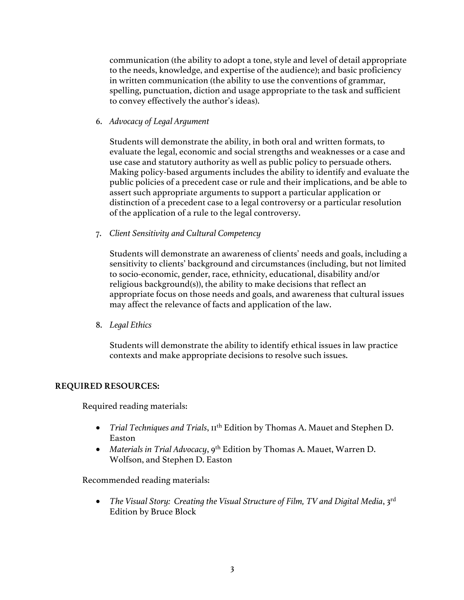communication (the ability to adopt a tone, style and level of detail appropriate to the needs, knowledge, and expertise of the audience); and basic proficiency in written communication (the ability to use the conventions of grammar, spelling, punctuation, diction and usage appropriate to the task and sufficient to convey effectively the author's ideas).

6. *Advocacy of Legal Argument*

Students will demonstrate the ability, in both oral and written formats, to evaluate the legal, economic and social strengths and weaknesses or a case and use case and statutory authority as well as public policy to persuade others. Making policy-based arguments includes the ability to identify and evaluate the public policies of a precedent case or rule and their implications, and be able to assert such appropriate arguments to support a particular application or distinction of a precedent case to a legal controversy or a particular resolution of the application of a rule to the legal controversy.

7. *Client Sensitivity and Cultural Competency*

Students will demonstrate an awareness of clients' needs and goals, including a sensitivity to clients' background and circumstances (including, but not limited to socio-economic, gender, race, ethnicity, educational, disability and/or religious background(s)), the ability to make decisions that reflect an appropriate focus on those needs and goals, and awareness that cultural issues may affect the relevance of facts and application of the law.

8. *Legal Ethics*

Students will demonstrate the ability to identify ethical issues in law practice contexts and make appropriate decisions to resolve such issues.

## **REQUIRED RESOURCES:**

Required reading materials:

- *Trial Techniques and Trials*,  $II<sup>th</sup>$  Edition by Thomas A. Mauet and Stephen D. Easton
- *Materials in Trial Advocacy*, 9<sup>th</sup> Edition by Thomas A. Mauet, Warren D. Wolfson, and Stephen D. Easton

Recommended reading materials:

• *The Visual Story: Creating the Visual Structure of Film, TV and Digital Media*, 3<sup>rd</sup> Edition by Bruce Block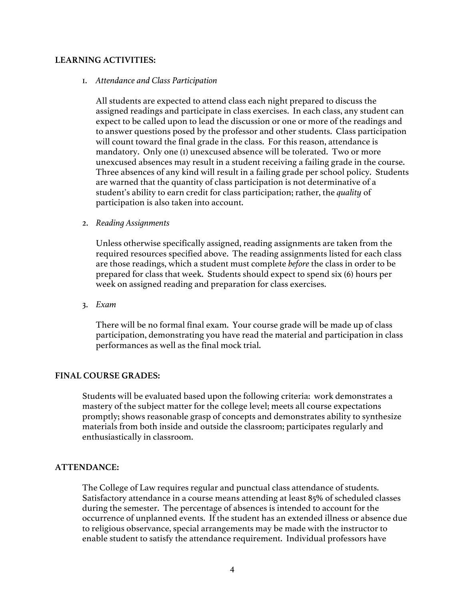### **LEARNING ACTIVITIES:**

### 1. *Attendance and Class Participation*

All students are expected to attend class each night prepared to discuss the assigned readings and participate in class exercises. In each class, any student can expect to be called upon to lead the discussion or one or more of the readings and to answer questions posed by the professor and other students. Class participation will count toward the final grade in the class. For this reason, attendance is mandatory. Only one (1) unexcused absence will be tolerated. Two or more unexcused absences may result in a student receiving a failing grade in the course. Three absences of any kind will result in a failing grade per school policy. Students are warned that the quantity of class participation is not determinative of a student's ability to earn credit for class participation; rather, the *quality* of participation is also taken into account.

#### 2. *Reading Assignments*

Unless otherwise specifically assigned, reading assignments are taken from the required resources specified above. The reading assignments listed for each class are those readings, which a student must complete *before* the class in order to be prepared for class that week. Students should expect to spend six (6) hours per week on assigned reading and preparation for class exercises.

3. *Exam*

There will be no formal final exam. Your course grade will be made up of class participation, demonstrating you have read the material and participation in class performances as well as the final mock trial.

#### **FINAL COURSE GRADES:**

Students will be evaluated based upon the following criteria: work demonstrates a mastery of the subject matter for the college level; meets all course expectations promptly; shows reasonable grasp of concepts and demonstrates ability to synthesize materials from both inside and outside the classroom; participates regularly and enthusiastically in classroom.

### **ATTENDANCE:**

The College of Law requires regular and punctual class attendance of students. Satisfactory attendance in a course means attending at least 85% of scheduled classes during the semester. The percentage of absences is intended to account for the occurrence of unplanned events. If the student has an extended illness or absence due to religious observance, special arrangements may be made with the instructor to enable student to satisfy the attendance requirement. Individual professors have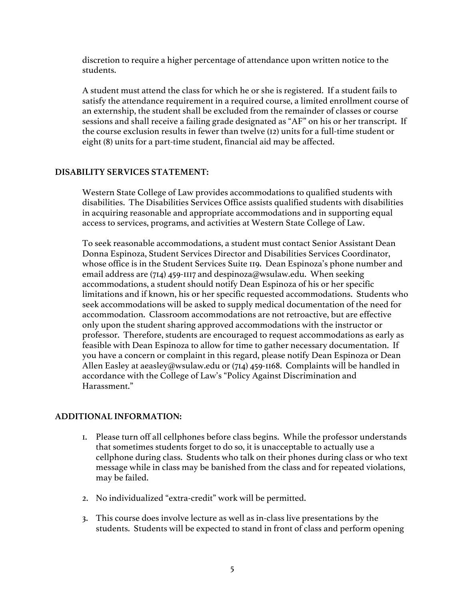discretion to require a higher percentage of attendance upon written notice to the students.

A student must attend the class for which he or she is registered. If a student fails to satisfy the attendance requirement in a required course, a limited enrollment course of an externship, the student shall be excluded from the remainder of classes or course sessions and shall receive a failing grade designated as "AF" on his or her transcript. If the course exclusion results in fewer than twelve (12) units for a full-time student or eight (8) units for a part-time student, financial aid may be affected.

#### **DISABILITY SERVICES STATEMENT:**

Western State College of Law provides accommodations to qualified students with disabilities. The Disabilities Services Office assists qualified students with disabilities in acquiring reasonable and appropriate accommodations and in supporting equal access to services, programs, and activities at Western State College of Law.

To seek reasonable accommodations, a student must contact Senior Assistant Dean Donna Espinoza, Student Services Director and Disabilities Services Coordinator, whose office is in the Student Services Suite 119. Dean Espinoza's phone number and email address are (714) 459-1117 and despinoza@wsulaw.edu. When seeking accommodations, a student should notify Dean Espinoza of his or her specific limitations and if known, his or her specific requested accommodations. Students who seek accommodations will be asked to supply medical documentation of the need for accommodation. Classroom accommodations are not retroactive, but are effective only upon the student sharing approved accommodations with the instructor or professor. Therefore, students are encouraged to request accommodations as early as feasible with Dean Espinoza to allow for time to gather necessary documentation. If you have a concern or complaint in this regard, please notify Dean Espinoza or Dean Allen Easley at aeasley@wsulaw.edu or (714) 459-1168. Complaints will be handled in accordance with the College of Law's "Policy Against Discrimination and Harassment."

## **ADDITIONAL INFORMATION:**

- 1. Please turn off all cellphones before class begins. While the professor understands that sometimes students forget to do so, it is unacceptable to actually use a cellphone during class. Students who talk on their phones during class or who text message while in class may be banished from the class and for repeated violations, may be failed.
- 2. No individualized "extra-credit" work will be permitted.
- 3. This course does involve lecture as well as in-class live presentations by the students. Students will be expected to stand in front of class and perform opening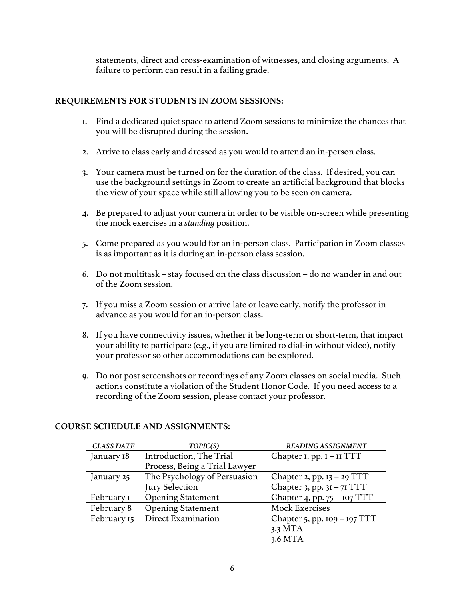statements, direct and cross-examination of witnesses, and closing arguments. A failure to perform can result in a failing grade.

# **REQUIREMENTS FOR STUDENTS IN ZOOM SESSIONS:**

- 1. Find a dedicated quiet space to attend Zoom sessions to minimize the chances that you will be disrupted during the session.
- 2. Arrive to class early and dressed as you would to attend an in-person class.
- 3. Your camera must be turned on for the duration of the class. If desired, you can use the background settings in Zoom to create an artificial background that blocks the view of your space while still allowing you to be seen on camera.
- 4. Be prepared to adjust your camera in order to be visible on-screen while presenting the mock exercises in a *standing* position.
- 5. Come prepared as you would for an in-person class. Participation in Zoom classes is as important as it is during an in-person class session.
- 6. Do not multitask stay focused on the class discussion do no wander in and out of the Zoom session.
- 7. If you miss a Zoom session or arrive late or leave early, notify the professor in advance as you would for an in-person class.
- 8. If you have connectivity issues, whether it be long-term or short-term, that impact your ability to participate (e.g., if you are limited to dial-in without video), notify your professor so other accommodations can be explored.
- 9. Do not post screenshots or recordings of any Zoom classes on social media. Such actions constitute a violation of the Student Honor Code. If you need access to a recording of the Zoom session, please contact your professor.

| <b>CLASS DATE</b> | TOPIC(S)                      | <b>READING ASSIGNMENT</b>      |
|-------------------|-------------------------------|--------------------------------|
| January 18        | Introduction, The Trial       | Chapter $I$ , pp. $I - II TTT$ |
|                   | Process, Being a Trial Lawyer |                                |
| January 25        | The Psychology of Persuasion  | Chapter 2, pp. $13 - 29$ TTT   |
|                   | Jury Selection                | Chapter 3, pp. $3I - 7I TTT$   |
| February I        | <b>Opening Statement</b>      | Chapter 4, pp. $75 - 107$ TTT  |
| February 8        | <b>Opening Statement</b>      | <b>Mock Exercises</b>          |
| February 15       | <b>Direct Examination</b>     | Chapter 5, pp. $109 - 197$ TTT |
|                   |                               | 3.3 MTA                        |
|                   |                               | 3.6 MTA                        |

# **COURSE SCHEDULE AND ASSIGNMENTS:**